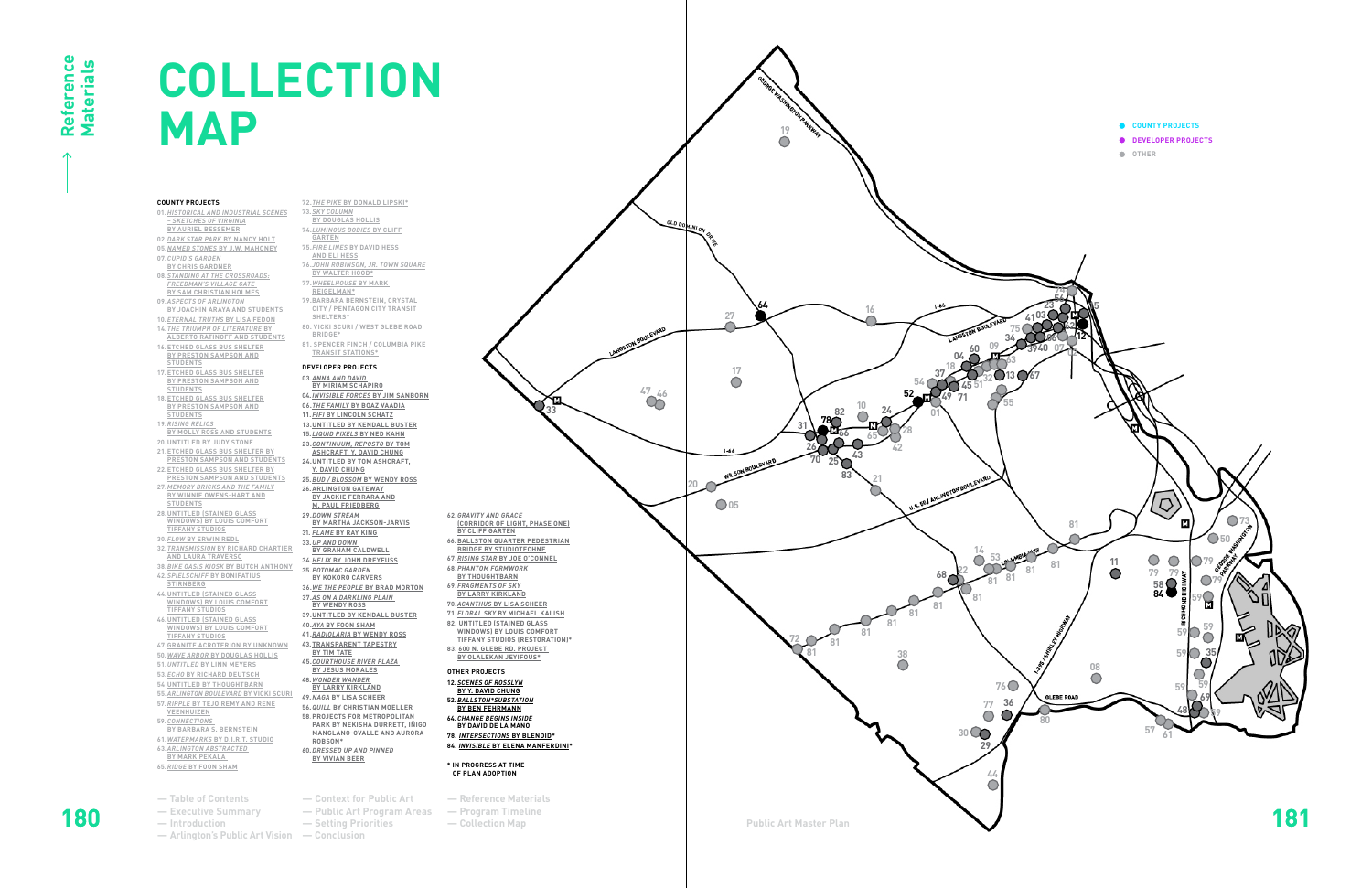- **72.***THE PIKE* **BY DONALD LIPSKI\***
- **73.***SKY COLUMN* **BY DOUGLAS HOLLIS**
- **74.***LUMINOUS BODIES* **BY CLIFF**
- **GARTEN**
- **75.***FIRE LINES* **BY DAVID HESS**
- **AND ELI HESS 76.***JOHN ROBINSON, JR. TOWN SQUARE*
- **BY WALTER HOOD\***
- **77.***WHEELHOUSE* **BY MARK REIGELMAN\***
- **79.BARBARA BERNSTEIN, CRYSTAL CITY / PENTAGON CITY TRANSIT**
- **SHELTERS\* 80. VICKI SCURI / WEST GLEBE ROAD**
- **BRIDGE\***
- **81. SPENCER FINCH / COLUMBIA PIKE TRANSIT STATIONS\***

## **DEVELOPER PROJECTS**

- **03.***ANNA AND DAVID*
- **BY MIRIAM SCHAPIRO**
- **04.***INVISIBLE FORCES* **BY JIM SANBORN 06.***THE FAMILY* **BY BOAZ VAADIA**
- **11.***FIFI* **BY LINCOLN SCHATZ**
- **13.UNTITLED BY KENDALL BUSTER**
- **15.***LIQUID PIXELS* **BY NED KAHN**
- **23.***CONTINUUM, REPOSTO* **BY TOM**
- **ASHCRAFT, Y. DAVID CHUNG 24.UNTITLED BY TOM ASHCRAFT,**
- **Y. DAVID CHUNG**
- **25.***BUD / BLOSSOM* **BY WENDY ROSS**
- **26.ARLINGTON GATEWAY BY JACKIE FERRARA AND**
- **M. PAUL FRIEDBERG 29.***DOWN STREAM*
- **BY MARTHA JACKSON-JARVIS**
- **31.** *FLAME* **BY RAY KING**
- **33.***UP AND DOWN*
- **BY GRAHAM CALDWELL**
- **34.***HELIX*  **BY JOHN DREYFUSS 35.***POTOMAC GARDEN*
- **BY KOKORO CARVERS**
- **36.***WE THE PEOPLE* **BY BRAD MORTON**
- **37.***AS ON A DARKLING PLAIN*
- **BY WENDY ROSS 39.UNTITLED BY KENDALL BUSTER**
- **40.***AYA* **BY FOON SHAM**
- **41.***RADIOLARIA* **BY WENDY ROSS 43.TRANSPARENT TAPESTRY**
- **BY TIM TATE**
- **45.***COURTHOUSE RIVER PLAZA* **BY JESUS MORALES**
- **48.***WONDER WANDER* **BY LARRY KIRKLAND**
- **49.***NAGA* **BY LISA SCHEER**
- **56.***QUILL* **BY CHRISTIAN MOELLER 58 .PROJECTS FOR METROPOLITAN**
- **MANGLANO-OVALLE AND AURORA ROBSON\***
- **60.***DRESSED UP AND PINNED* **BY VIVIAN BEER**
	- -
		- -

## **COUNTY PROJECTS**

- **01.***HISTORICAL AND INDUSTRIAL SCENES – SKETCHES OF VIRGINIA* **BY AURIEL BESSEMER 02.***DARK STAR PARK* **BY NANCY HOLT 05.***NAMED STONES* **BY J.W. MAHONEY 07.***CUPID'S GARDEN*
- **BY CHRIS GARDNER 08.***STANDING AT THE CROSSROADS: FREEDMAN'S VILLAGE GATE*
- **BY SAM CHRISTIAN HOLMES 09.***ASPECTS OF ARLINGTON*
- **BY JOACHIN ARAYA AND STUDENTS 10.***ETERNAL TRUTHS* **BY LISA FEDON**
- **14.***THE TRIUMPH OF LITERATURE* **BY ALBERTO RATINOFF AND STUDENTS**
- **16.ETCHED GLASS BUS SHELTER**
- **BY PRESTON SAMPSON AND STUDENTS**
- **17.ETCHED GLASS BUS SHELTER BY PRESTON SAMPSON AND STUDENTS**
- **18.ETCHED GLASS BUS SHELTER BY PRESTON SAMPSON AND**
- **STUDENTS**
- **19.***RISING RELICS* **BY MOLLY ROSS AND STUDENTS**
- **20.UNTITLED BY JUDY STONE**
- **21.ETCHED GLASS BUS SHELTER BY PRESTON SAMPSON AND STUDENTS**
- **22.ETCHED GLASS BUS SHELTER BY**
- **PRESTON SAMPSON AND STUDENTS 27.***MEMORY BRICKS AND THE FAMILY* **BY WINNIE OWENS-HART AND**
- **STUDENTS 28.UNTITLED (STAINED GLASS WINDOWS) BY LOUIS COMFORT**
- **TIFFANY STUDIOS**
- **30.***FLO W* **BY ERWIN REDL**
- **32.***TRANSMISSION* **BY RICHARD CHARTIER**
- **AND LAURA TRAVERSO**
- **38.***BIKE OASIS KIOSK* **BY BUTCH ANTHONY 42.***SPIELSCHIFF* **BY BONIFATIUS**
- **STIRNBERG 44.UNTITLED (STAINED GLASS WINDOWS) BY LOUIS COMFORT**
- **TIFFANY STUDIOS 46.UNTITLED (STAINED GLASS**
- **WINDOWS) BY LOUIS COMFORT TIFFANY STUDIOS**
- **47.GRANITE ACROTERION BY UNKNOWN**
- **50.***WAVE ARBOR* **BY DOUGLAS HOLLIS**
- **51.***UNTITLED*  **BY LINN MEYERS**
- **53.***ECHO* **BY RICHARD DEUTSCH 54 UNTITLED BY THOUGHTBARN**
- **55.***ARLINGTON BOULEVARD* **BY VICKI SCURI**
- **57.***RIPPLE* **BY TEJO REMY AND RENE**
- **VEENHUIZEN 59.***CONNECTIONS*
- **BY BARBARA S. BERNSTEIN**
- **61.***WATERMARKS* **BY D.I.R.T. STUDIO 63.***ARLINGTON ABSTRACTED*
- **BY MARK PEKALA 65.***RIDGE*  **BY FOON SHAM**
- 
- 
- 
- 
- 

## **COLLECTION MAP**

**62.***GRAVITY AND GRACE*

**(CORRIDOR OF LIGHT, PHASE ONE)**

**BY CLIFF GARTEN**

**66.BALLSTON QUARTER PEDESTRIAN BRIDGE BY STUDIOTECHNE 67.***RISING STAR* **BY JOE O'CONNEL 68.***PHANTOM FORMWORK* **BY THOUGHTBARN 69.***FRAGMENTS OF SKY* **BY LARRY KIRKLAND 70.***ACANTHUS* **BY LISA SCHEER 71.***FLORAL SKY* **BY MICHAEL KALISH 82. UNTITLED (STAINED GLASS WINDOWS) BY LOUIS COMFORT TIFFANY STUDIOS (RESTORATION)\* 83. 600 N. GLEBE RD. PROJECT BY OLALEKAN JEYIFOUS\***

**BY BEN FEHRMANN 64.***CHANGE BEGINS INSIDE*

- **OTHER PROJECTS**
- **12.***SCENES OF ROSSLYN* **BY Y. DAVID CHUNG 52.***BALLSTON\*SUBSTATION*
- 
- **PARK BY NEKISHA DURRETT, IÑIGO** 
	- **BY DAVID DE LA MANO 78.** *INTERSECTIONS* **BY BLENDID \***
		- **84.** *INVISIBLE* **BY ELENA MANFERDINI \***
			- **\* IN PROGRESS AT TIME**

**OF PLAN ADOPTION**



**33**

- **78 64 52 81 81 81 <sup>81</sup> <sup>81</sup> 81 81 81 77 36 72 65 54 53 51 47 46**  $\ddot{\bullet}$ **42 38 32 30 28 27 22 20 a 21 21 221 19 <sup>18</sup> <sup>17</sup> 16 14 10 09 05 01 68 70 66 60 49 45 43 37 31 29 26 25 24 04 71 82 83 <sup>180</sup> Public Art Master Plan <sup>181</sup> OLD DOMINION DRIVE**
	- **Executive Summary Public Art Program Areas — Arlington's Public Art Vision — Introduction — Context for Public Art — Conclusion — Setting Priorities — Reference Materials — Program Timeline — Collection Map — Table of Contents**
		-